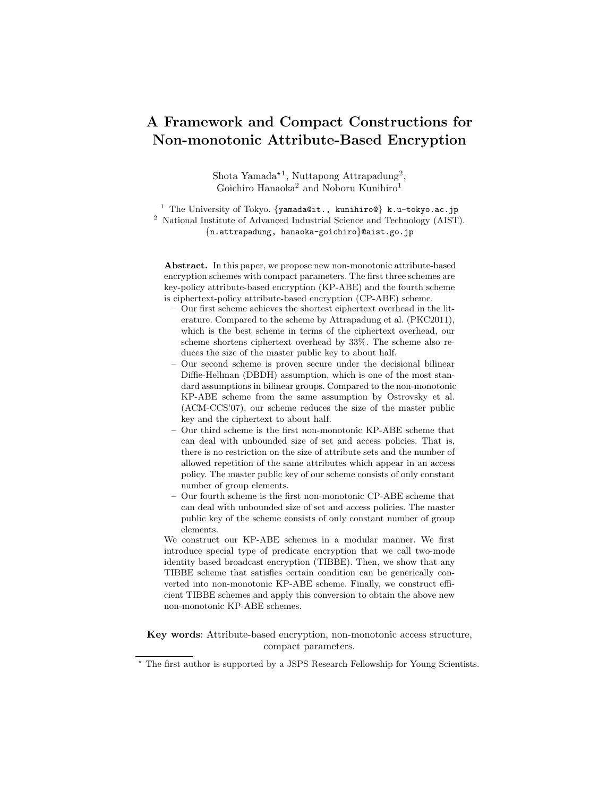# A Framework and Compact Constructions for Non-monotonic Attribute-Based Encryption

Shota Yamada<sup>\*1</sup>, Nuttapong Attrapadung<sup>2</sup>, Goichiro Hanaoka<sup>2</sup> and Noboru Kunihiro<sup>1</sup>

<sup>1</sup> The University of Tokyo. {yamada@it., kunihiro@} k.u-tokyo.ac.jp  $^2\,$  National Institute of Advanced Industrial Science and Technology (AIST). {n.attrapadung, hanaoka-goichiro}@aist.go.jp

Abstract. In this paper, we propose new non-monotonic attribute-based encryption schemes with compact parameters. The first three schemes are key-policy attribute-based encryption (KP-ABE) and the fourth scheme is ciphertext-policy attribute-based encryption (CP-ABE) scheme.

- Our first scheme achieves the shortest ciphertext overhead in the literature. Compared to the scheme by Attrapadung et al. (PKC2011), which is the best scheme in terms of the ciphertext overhead, our scheme shortens ciphertext overhead by 33%. The scheme also reduces the size of the master public key to about half.
- Our second scheme is proven secure under the decisional bilinear Diffie-Hellman (DBDH) assumption, which is one of the most standard assumptions in bilinear groups. Compared to the non-monotonic KP-ABE scheme from the same assumption by Ostrovsky et al. (ACM-CCS'07), our scheme reduces the size of the master public key and the ciphertext to about half.
- Our third scheme is the first non-monotonic KP-ABE scheme that can deal with unbounded size of set and access policies. That is, there is no restriction on the size of attribute sets and the number of allowed repetition of the same attributes which appear in an access policy. The master public key of our scheme consists of only constant number of group elements.
- Our fourth scheme is the first non-monotonic CP-ABE scheme that can deal with unbounded size of set and access policies. The master public key of the scheme consists of only constant number of group elements.

We construct our KP-ABE schemes in a modular manner. We first introduce special type of predicate encryption that we call two-mode identity based broadcast encryption (TIBBE). Then, we show that any TIBBE scheme that satisfies certain condition can be generically converted into non-monotonic KP-ABE scheme. Finally, we construct efficient TIBBE schemes and apply this conversion to obtain the above new non-monotonic KP-ABE schemes.

Key words: Attribute-based encryption, non-monotonic access structure, compact parameters.

<sup>?</sup> The first author is supported by a JSPS Research Fellowship for Young Scientists.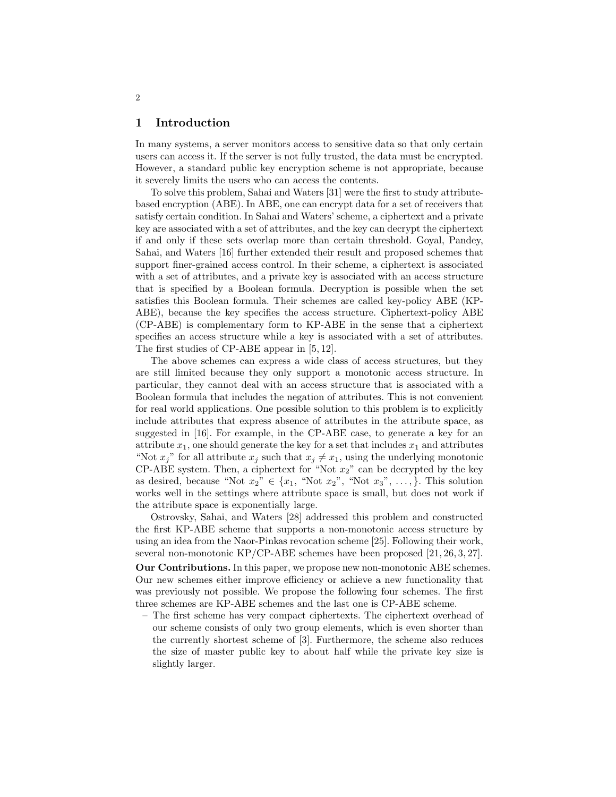#### 1 Introduction

In many systems, a server monitors access to sensitive data so that only certain users can access it. If the server is not fully trusted, the data must be encrypted. However, a standard public key encryption scheme is not appropriate, because it severely limits the users who can access the contents.

To solve this problem, Sahai and Waters [31] were the first to study attributebased encryption (ABE). In ABE, one can encrypt data for a set of receivers that satisfy certain condition. In Sahai and Waters' scheme, a ciphertext and a private key are associated with a set of attributes, and the key can decrypt the ciphertext if and only if these sets overlap more than certain threshold. Goyal, Pandey, Sahai, and Waters [16] further extended their result and proposed schemes that support finer-grained access control. In their scheme, a ciphertext is associated with a set of attributes, and a private key is associated with an access structure that is specified by a Boolean formula. Decryption is possible when the set satisfies this Boolean formula. Their schemes are called key-policy ABE (KP-ABE), because the key specifies the access structure. Ciphertext-policy ABE (CP-ABE) is complementary form to KP-ABE in the sense that a ciphertext specifies an access structure while a key is associated with a set of attributes. The first studies of CP-ABE appear in [5, 12].

The above schemes can express a wide class of access structures, but they are still limited because they only support a monotonic access structure. In particular, they cannot deal with an access structure that is associated with a Boolean formula that includes the negation of attributes. This is not convenient for real world applications. One possible solution to this problem is to explicitly include attributes that express absence of attributes in the attribute space, as suggested in [16]. For example, in the CP-ABE case, to generate a key for an attribute  $x_1$ , one should generate the key for a set that includes  $x_1$  and attributes "Not  $x_j$ " for all attribute  $x_j$  such that  $x_j \neq x_1$ , using the underlying monotonic CP-ABE system. Then, a ciphertext for "Not  $x_2$ " can be decrypted by the key as desired, because "Not  $x_2$ "  $\in \{x_1,$  "Not  $x_2$ ", "Not  $x_3$ ", ..., }. This solution works well in the settings where attribute space is small, but does not work if the attribute space is exponentially large.

Ostrovsky, Sahai, and Waters [28] addressed this problem and constructed the first KP-ABE scheme that supports a non-monotonic access structure by using an idea from the Naor-Pinkas revocation scheme [25]. Following their work, several non-monotonic KP/CP-ABE schemes have been proposed [21, 26, 3, 27].

Our Contributions. In this paper, we propose new non-monotonic ABE schemes. Our new schemes either improve efficiency or achieve a new functionality that was previously not possible. We propose the following four schemes. The first three schemes are KP-ABE schemes and the last one is CP-ABE scheme.

– The first scheme has very compact ciphertexts. The ciphertext overhead of our scheme consists of only two group elements, which is even shorter than the currently shortest scheme of [3]. Furthermore, the scheme also reduces the size of master public key to about half while the private key size is slightly larger.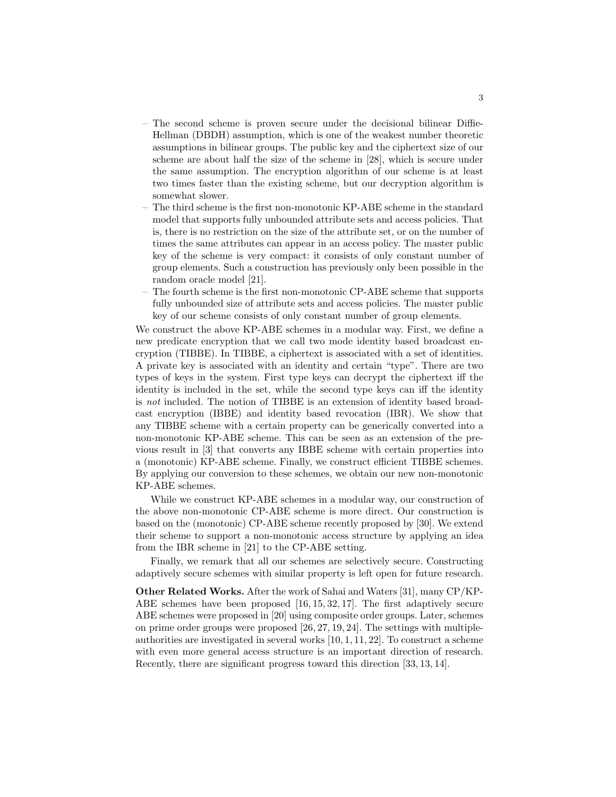- The second scheme is proven secure under the decisional bilinear Diffie-Hellman (DBDH) assumption, which is one of the weakest number theoretic assumptions in bilinear groups. The public key and the ciphertext size of our scheme are about half the size of the scheme in [28], which is secure under the same assumption. The encryption algorithm of our scheme is at least two times faster than the existing scheme, but our decryption algorithm is somewhat slower.
- The third scheme is the first non-monotonic KP-ABE scheme in the standard model that supports fully unbounded attribute sets and access policies. That is, there is no restriction on the size of the attribute set, or on the number of times the same attributes can appear in an access policy. The master public key of the scheme is very compact: it consists of only constant number of group elements. Such a construction has previously only been possible in the random oracle model [21].
- The fourth scheme is the first non-monotonic CP-ABE scheme that supports fully unbounded size of attribute sets and access policies. The master public key of our scheme consists of only constant number of group elements.

We construct the above KP-ABE schemes in a modular way. First, we define a new predicate encryption that we call two mode identity based broadcast encryption (TIBBE). In TIBBE, a ciphertext is associated with a set of identities. A private key is associated with an identity and certain "type". There are two types of keys in the system. First type keys can decrypt the ciphertext iff the identity is included in the set, while the second type keys can iff the identity is not included. The notion of TIBBE is an extension of identity based broadcast encryption (IBBE) and identity based revocation (IBR). We show that any TIBBE scheme with a certain property can be generically converted into a non-monotonic KP-ABE scheme. This can be seen as an extension of the previous result in [3] that converts any IBBE scheme with certain properties into a (monotonic) KP-ABE scheme. Finally, we construct efficient TIBBE schemes. By applying our conversion to these schemes, we obtain our new non-monotonic KP-ABE schemes.

While we construct KP-ABE schemes in a modular way, our construction of the above non-monotonic CP-ABE scheme is more direct. Our construction is based on the (monotonic) CP-ABE scheme recently proposed by [30]. We extend their scheme to support a non-monotonic access structure by applying an idea from the IBR scheme in [21] to the CP-ABE setting.

Finally, we remark that all our schemes are selectively secure. Constructing adaptively secure schemes with similar property is left open for future research.

Other Related Works. After the work of Sahai and Waters [31], many CP/KP-ABE schemes have been proposed [16, 15, 32, 17]. The first adaptively secure ABE schemes were proposed in [20] using composite order groups. Later, schemes on prime order groups were proposed [26, 27, 19, 24]. The settings with multipleauthorities are investigated in several works [10, 1, 11, 22]. To construct a scheme with even more general access structure is an important direction of research. Recently, there are significant progress toward this direction [33, 13, 14].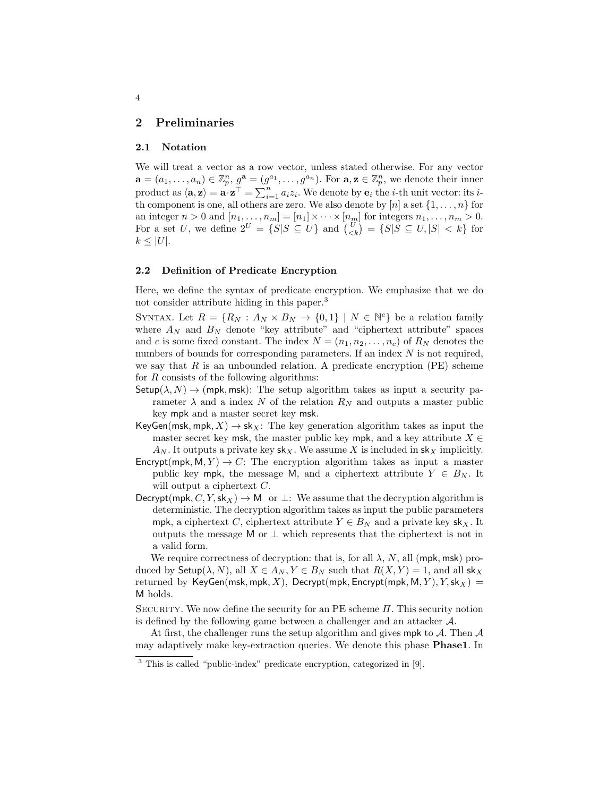#### 2 Preliminaries

#### 2.1 Notation

We will treat a vector as a row vector, unless stated otherwise. For any vector  $\mathbf{a} = (a_1, \ldots, a_n) \in \mathbb{Z}_p^n$ ,  $g^{\mathbf{a}} = (g^{a_1}, \ldots, g^{a_n})$ . For  $\mathbf{a}, \mathbf{z} \in \mathbb{Z}_p^n$ , we denote their inner product as  $\langle \mathbf{a}, \mathbf{z} \rangle = \mathbf{a} \cdot \mathbf{z}^\top = \sum_{i=1}^n a_i z_i$ . We denote by  $\mathbf{e}_i$  the *i*-th unit vector: its *i*th component is one, all others are zero. We also denote by  $[n]$  a set  $\{1, \ldots, n\}$  for an integer  $n > 0$  and  $[n_1, \ldots, n_m] = [n_1] \times \cdots \times [n_m]$  for integers  $n_1, \ldots, n_m > 0$ . For a set U, we define  $2^U = \{ \dot{S} | S \subseteq U \}$  and  $\begin{pmatrix} U \\ \langle k \rangle \end{pmatrix} = \{ S | S \subseteq U, |S| < k \}$  for  $k \leq |U|$ .

#### 2.2 Definition of Predicate Encryption

Here, we define the syntax of predicate encryption. We emphasize that we do not consider attribute hiding in this paper.<sup>3</sup>

SYNTAX. Let  $R = \{R_N : A_N \times B_N \to \{0,1\} \mid N \in \mathbb{N}^c\}$  be a relation family where  $A_N$  and  $B_N$  denote "key attribute" and "ciphertext attribute" spaces and c is some fixed constant. The index  $N = (n_1, n_2, \ldots, n_c)$  of  $R_N$  denotes the numbers of bounds for corresponding parameters. If an index  $N$  is not required, we say that R is an unbounded relation. A predicate encryption  $(PE)$  scheme for  $R$  consists of the following algorithms:

- $\mathsf{Setup}(\lambda,N) \to (\mathsf{mpk},\mathsf{msk})$ : The setup algorithm takes as input a security parameter  $\lambda$  and a index N of the relation  $R_N$  and outputs a master public key mpk and a master secret key msk.
- KeyGen(msk, mpk,  $X$ )  $\rightarrow$  sk<sub>X</sub>: The key generation algorithm takes as input the master secret key msk, the master public key mpk, and a key attribute  $X \in$  $A_N$ . It outputs a private key sk<sub>X</sub>. We assume X is included in sk<sub>X</sub> implicitly.
- Encrypt(mpk,  $M, Y$ )  $\rightarrow C$ : The encryption algorithm takes as input a master public key mpk, the message M, and a ciphertext attribute  $Y \in B_N$ . It will output a ciphertext  $C$ .
- Decrypt(mpk,  $C, Y,$ sk $_X$ )  $\rightarrow$  M or  $\perp$ : We assume that the decryption algorithm is deterministic. The decryption algorithm takes as input the public parameters mpk, a ciphertext C, ciphertext attribute  $Y \in B_N$  and a private key sk<sub>X</sub>. It outputs the message M or  $\perp$  which represents that the ciphertext is not in a valid form.

We require correctness of decryption: that is, for all  $\lambda$ , N, all (mpk, msk) produced by Setup( $\lambda$ , N), all  $X \in A_N$ ,  $Y \in B_N$  such that  $R(X, Y) = 1$ , and all sk<sub>X</sub> returned by KeyGen(msk, mpk, X), Decrypt(mpk, Encrypt(mpk, M, Y), Y, sk $_X$ ) = M holds.

SECURITY. We now define the security for an PE scheme  $\Pi$ . This security notion is defined by the following game between a challenger and an attacker  $\mathcal{A}$ .

At first, the challenger runs the setup algorithm and gives mpk to  $A$ . Then  $A$ may adaptively make key-extraction queries. We denote this phase Phase1. In

<sup>3</sup> This is called "public-index" predicate encryption, categorized in [9].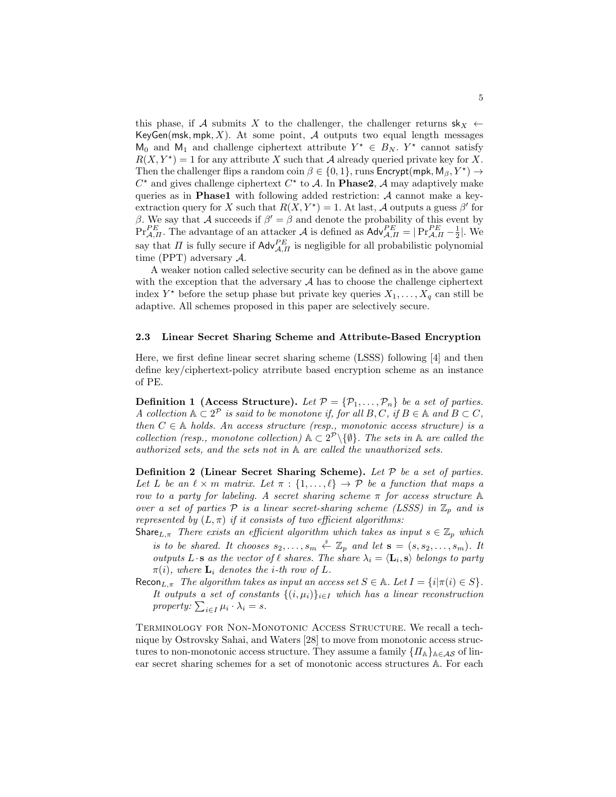this phase, if A submits X to the challenger, the challenger returns  $sk_X \leftarrow$ KeyGen(msk, mpk, X). At some point, A outputs two equal length messages  $M_0$  and  $M_1$  and challenge ciphertext attribute  $Y^* \in B_N$ .  $Y^*$  cannot satisfy  $R(X, Y^*) = 1$  for any attribute X such that A already queried private key for X. Then the challenger flips a random coin  $\beta \in \{0, 1\}$ , runs Encrypt(mpk,  $M_{\beta}, Y^{\star}$ )  $\rightarrow$  $C^*$  and gives challenge ciphertext  $C^*$  to A. In **Phase2**, A may adaptively make queries as in **Phase1** with following added restriction:  $\mathcal{A}$  cannot make a keyextraction query for X such that  $R(X, Y^*) = 1$ . At last, A outputs a guess  $\beta'$  for β. We say that A succeeds if  $β' = β$  and denote the probability of this event by  $Pr_{\mathcal{A},\Pi}^{PE}$ . The advantage of an attacker  $\mathcal{A}$  is defined as  $\mathsf{Adv}_{\mathcal{A},\Pi}^{PE} = |Pr_{\mathcal{A},\Pi}^{PE} - \frac{1}{2}|$ . We say that  $\Pi$  is fully secure if  $\mathsf{Adv}_{\mathcal{A},\Pi}^{PE}$  is negligible for all probabilistic polynomial time (PPT) adversary  $\mathcal{A}$ .

A weaker notion called selective security can be defined as in the above game with the exception that the adversary  $A$  has to choose the challenge ciphertext index  $Y^*$  before the setup phase but private key queries  $X_1, \ldots, X_q$  can still be adaptive. All schemes proposed in this paper are selectively secure.

#### 2.3 Linear Secret Sharing Scheme and Attribute-Based Encryption

Here, we first define linear secret sharing scheme (LSSS) following [4] and then define key/ciphertext-policy atrribute based encryption scheme as an instance of PE.

**Definition 1 (Access Structure).** Let  $\mathcal{P} = {\mathcal{P}_1, \ldots, \mathcal{P}_n}$  be a set of parties. A collection  $A \subset 2^{\mathcal{P}}$  is said to be monotone if, for all  $B, C, if B \in A$  and  $B \subset C$ , then  $C \in A$  holds. An access structure (resp., monotonic access structure) is a collection (resp., monotone collection)  $\mathbb{A} \subset 2^{\mathcal{P}} \setminus \{\emptyset\}$ . The sets in  $\mathbb{A}$  are called the authorized sets, and the sets not in A are called the unauthorized sets.

Definition 2 (Linear Secret Sharing Scheme). Let  $P$  be a set of parties. Let L be an  $\ell \times m$  matrix. Let  $\pi : \{1, \ldots, \ell\} \to \mathcal{P}$  be a function that maps a row to a party for labeling. A secret sharing scheme  $\pi$  for access structure  $\mathbb A$ over a set of parties  $P$  is a linear secret-sharing scheme (LSSS) in  $\mathbb{Z}_p$  and is represented by  $(L, \pi)$  if it consists of two efficient algorithms:

- Share<sub>L,π</sub> There exists an efficient algorithm which takes as input  $s \in \mathbb{Z}_p$  which is to be shared. It chooses  $s_2, \ldots, s_m \stackrel{s}{\leftarrow} \mathbb{Z}_p$  and let  $\mathbf{s} = (s, s_2, \ldots, s_m)$ . It outputs L · s as the vector of  $\ell$  shares. The share  $\lambda_i = \langle \mathbf{L}_i, \mathbf{s} \rangle$  belongs to party  $\pi(i)$ , where  $\mathbf{L}_i$  denotes the *i*-th row of L.
- Recon<sub>L,π</sub> The algorithm takes as input an access set  $S \in \mathbb{A}$ . Let  $I = \{i | \pi(i) \in S\}$ . It outputs a set of constants  $\{(i,\mu_i)\}_{i\in I}$  which has a linear reconstruction property:  $\sum_{i\in I}\mu_i \cdot \lambda_i = s$ .

Terminology for Non-Monotonic Access Structure. We recall a technique by Ostrovsky Sahai, and Waters [28] to move from monotonic access structures to non-monotonic access structure. They assume a family  $\{ \Pi_{\mathbb{A}} \}_{\mathbb{A} \in \mathcal{AS}}$  of linear secret sharing schemes for a set of monotonic access structures A. For each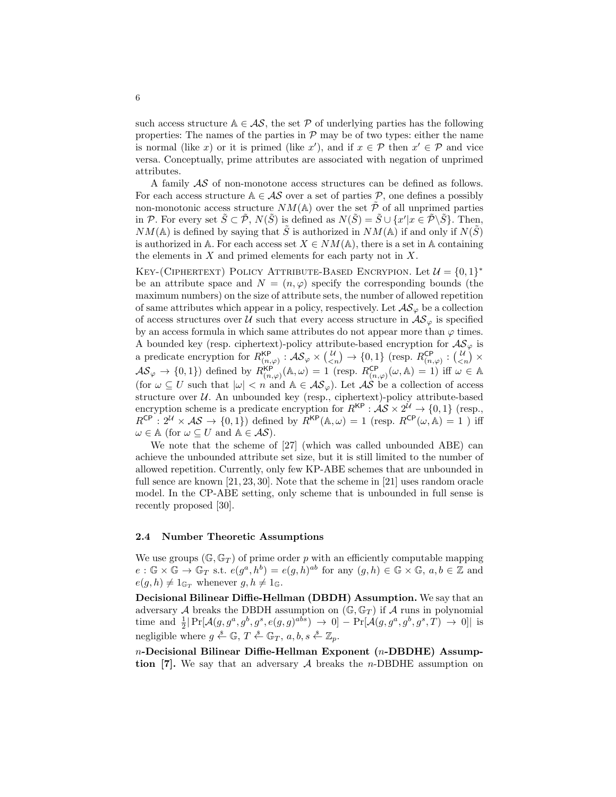such access structure  $A \in \mathcal{AS}$ , the set P of underlying parties has the following properties: The names of the parties in  $P$  may be of two types: either the name is normal (like x) or it is primed (like x'), and if  $x \in \mathcal{P}$  then  $x' \in \mathcal{P}$  and vice versa. Conceptually, prime attributes are associated with negation of unprimed attributes.

A family AS of non-monotone access structures can be defined as follows. For each access structure  $A \in \mathcal{AS}$  over a set of parties P, one defines a possibly non-monotonic access structure  $NM(\mathbb{A})$  over the set  $\tilde{\mathcal{P}}$  of all unprimed parties in P. For every set  $\tilde{S} \subset \tilde{\mathcal{P}}, N(\tilde{S})$  is defined as  $N(\tilde{S}) = \tilde{S} \cup \{x'|x \in \tilde{\mathcal{P}} \setminus \tilde{S}\}.$  Then,  $NM(\mathbb{A})$  is defined by saying that  $\tilde{S}$  is authorized in  $NM(\mathbb{A})$  if and only if  $N(\tilde{S})$ is authorized in A. For each access set  $X \in NM(\mathbb{A})$ , there is a set in A containing the elements in  $X$  and primed elements for each party not in  $X$ .

KEY-(CIPHERTEXT) POLICY ATTRIBUTE-BASED ENCRYPION. Let  $\mathcal{U} = \{0, 1\}^*$ be an attribute space and  $N = (n, \varphi)$  specify the corresponding bounds (the maximum numbers) on the size of attribute sets, the number of allowed repetition of same attributes which appear in a policy, respectively. Let  $AS_{\varphi}$  be a collection of access structures over U such that every access structure in  $AS_{\varphi}$  is specified by an access formula in which same attributes do not appear more than  $\varphi$  times. A bounded key (resp. ciphertext)-policy attribute-based encryption for  $AS_{\varphi}$  is a predicate encryption for  $R_{(n,\varphi)}^{\text{KP}}: \mathcal{AS}_{\varphi} \times \begin{pmatrix} \mathcal{U} \\ \langle n \rangle \end{pmatrix} \to \{0,1\}$  (resp.  $R_{(n,\varphi)}^{\text{CP}}: \begin{pmatrix} \mathcal{U} \\ \langle n \rangle \end{pmatrix} \times$  $\mathcal{AS}_{\varphi} \to \{0,1\}$  defined by  $R_{(n,\varphi)}^{\mathsf{KP}}(\mathbb{A},\omega) = 1$  (resp.  $R_{(n,\varphi)}^{\mathsf{CP}}(\omega,\mathbb{A}) = 1$ ) iff  $\omega \in \mathbb{A}$ (for  $\omega \subseteq U$  such that  $|\omega| < n$  and  $\mathbb{A} \in \mathcal{AS}_{\varphi}$ ). Let  $\mathcal{AS}_{\varphi}$  be a collection of access structure over  $U$ . An unbounded key (resp., ciphertext)-policy attribute-based encryption scheme is a predicate encryption for  $R^{\text{KP}}$  :  $\mathcal{AS} \times 2^{\mathcal{U}} \rightarrow \{0,1\}$  (resp.,  $R^{CP}$ :  $2^{\mathcal{U}} \times \mathcal{AS} \to \{0, 1\}$  defined by  $R^{\mathsf{KP}}(\mathbb{A}, \omega) = 1$  (resp.  $R^{\mathsf{CP}}(\omega, \mathbb{A}) = 1$ ) iff  $\omega \in A$  (for  $\omega \subset U$  and  $A \in \mathcal{AS}$ ).

We note that the scheme of [27] (which was called unbounded ABE) can achieve the unbounded attribute set size, but it is still limited to the number of allowed repetition. Currently, only few KP-ABE schemes that are unbounded in full sence are known [21, 23, 30]. Note that the scheme in [21] uses random oracle model. In the CP-ABE setting, only scheme that is unbounded in full sense is recently proposed [30].

#### 2.4 Number Theoretic Assumptions

We use groups  $(\mathbb{G}, \mathbb{G}_T)$  of prime order p with an efficiently computable mapping  $e: \mathbb{G} \times \mathbb{G} \to \mathbb{G}_T$  s.t.  $e(g^a, h^b) = e(g, h)^{ab}$  for any  $(g, h) \in \mathbb{G} \times \mathbb{G}$ ,  $a, b \in \mathbb{Z}$  and  $e(g, h) \neq 1_{\mathbb{G}_T}$  whenever  $g, h \neq 1_{\mathbb{G}}$ .

Decisional Bilinear Diffie-Hellman (DBDH) Assumption. We say that an adversary A breaks the DBDH assumption on  $(\mathbb{G}, \mathbb{G}_T)$  if A runs in polynomial time and  $\frac{1}{2}|\Pr[\mathcal{A}(g, g^a, g^b, g^s, e(g, g)^{abs}] \to 0] - \Pr[\mathcal{A}(g, g^a, g^b, g^s, T) \to 0]|$  is negligible where  $g \stackrel{\hspace{0.1em}\mathsf{\scriptscriptstyle\$}}{\leftarrow} \mathbb{G}, T \stackrel{\hspace{0.1em}\mathsf{\scriptscriptstyle\$}}{\leftarrow} \mathbb{G}_T, a, b, s \stackrel{\hspace{0.1em}\mathsf{\scriptscriptstyle\$}}{\leftarrow} \mathbb{Z}_p.$ 

n-Decisional Bilinear Diffie-Hellman Exponent (n-DBDHE) Assumption [7]. We say that an adversary  $A$  breaks the *n*-DBDHE assumption on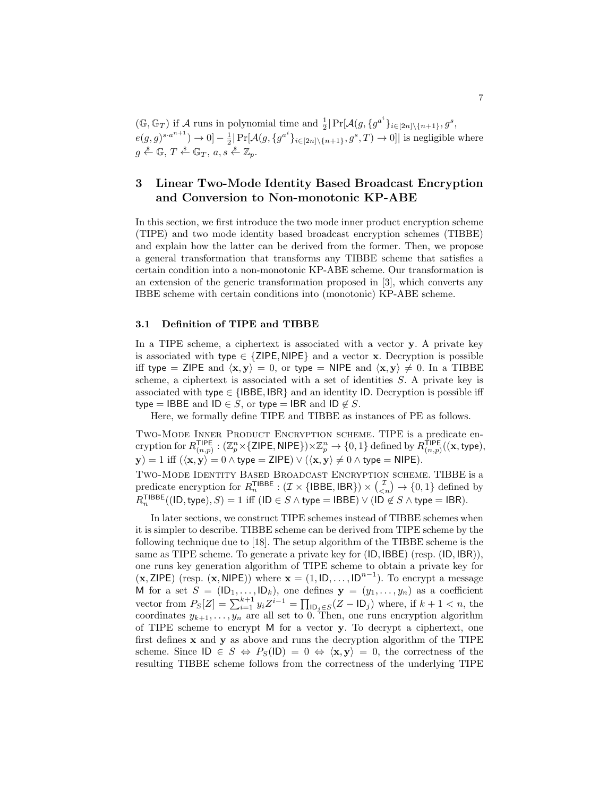$(\mathbb{G}, \mathbb{G}_T)$  if A runs in polynomial time and  $\frac{1}{2}|\Pr[\mathcal{A}(g, \{g^{a^i}\}_{i\in [2n]\setminus\{n+1\}}, g^s,$  $e(g,g)^{s \cdot a^{n+1}} \rightarrow 0$   $- \frac{1}{2} | \Pr[\mathcal{A}(g, \{g^{a^i}\}_{i \in [2n] \setminus \{n+1\}}, g^s, T) \rightarrow 0] |$  is negligible where  $g \stackrel{\hspace{0.1em}\mathsf{\scriptscriptstyle\$}}{\leftarrow} \mathbb{G},\, T \stackrel{\hspace{0.1em}\mathsf{\scriptscriptstyle\$}}{\leftarrow} \mathbb{G}_T,\, a, s \stackrel{\hspace{0.1em}\mathsf{\scriptscriptstyle\$}}{\leftarrow} \mathbb{Z}_p.$ 

## 3 Linear Two-Mode Identity Based Broadcast Encryption and Conversion to Non-monotonic KP-ABE

In this section, we first introduce the two mode inner product encryption scheme (TIPE) and two mode identity based broadcast encryption schemes (TIBBE) and explain how the latter can be derived from the former. Then, we propose a general transformation that transforms any TIBBE scheme that satisfies a certain condition into a non-monotonic KP-ABE scheme. Our transformation is an extension of the generic transformation proposed in [3], which converts any IBBE scheme with certain conditions into (monotonic) KP-ABE scheme.

#### 3.1 Definition of TIPE and TIBBE

In a TIPE scheme, a ciphertext is associated with a vector y. A private key is associated with type  $\in \{ZIPE, NIPE\}$  and a vector **x**. Decryption is possible iff type = ZIPE and  $\langle x, y \rangle = 0$ , or type = NIPE and  $\langle x, y \rangle \neq 0$ . In a TIBBE scheme, a ciphertext is associated with a set of identities S. A private key is associated with type  $\in \{IBBE, IBR\}$  and an identity ID. Decryption is possible iff type = IBBE and ID  $\in$  S, or type = IBR and ID  $\notin$  S.

Here, we formally define TIPE and TIBBE as instances of PE as follows.

Two-Mode Inner Product Encryption scheme. TIPE is a predicate encryption for  $R_{(n,p)}^{\text{TIPE}}:(\mathbb{Z}_p^n\times\{\text{ZIPE},\text{NIPE}\})\times\mathbb{Z}_p^n\rightarrow\{0,1\}$  defined by  $R_{(n,p)}^{\text{TIPE}}((\mathbf{x},\text{type}),$  $y) = 1$  iff  $(\langle x, y \rangle = 0 \land$  type  $=$  ZIPE)  $\lor$   $(\langle x, y \rangle \neq 0 \land$  type  $=$  NIPE).

Two-Mode Identity Based Broadcast Encryption scheme. TIBBE is a predicate encryption for  $R_n^{\text{TIBBE}}$ :  $(\mathcal{I} \times {\text{IBBE}, \text{IBR}}) \times (\frac{\mathcal{I}}{ defined by$  $R_n^{\mathsf{TIBBE}}((\mathsf{ID},\mathsf{type}),S) = 1 \text{ iff } (\mathsf{ID} \in S \land \mathsf{type} = \mathsf{IBBE}) \lor (\mathsf{ID} \not\in S \land \mathsf{type} = \mathsf{IBR}).$ 

In later sections, we construct TIPE schemes instead of TIBBE schemes when it is simpler to describe. TIBBE scheme can be derived from TIPE scheme by the following technique due to [18]. The setup algorithm of the TIBBE scheme is the same as TIPE scheme. To generate a private key for (ID, IBBE) (resp. (ID, IBR)), one runs key generation algorithm of TIPE scheme to obtain a private key for  $(x, ZIPE)$  (resp.  $(x, NIPE)$ ) where  $x = (1, ID, \ldots, ID<sup>n-1</sup>)$ . To encrypt a message M for a set  $S = (ID_1, \ldots, ID_k)$ , one defines  $y = (y_1, \ldots, y_n)$  as a coefficient vector from  $P_S[Z] = \sum_{i=1}^{k+1} y_i Z^{i-1} = \prod_{\mathsf{ID}_j \in S} (Z - \mathsf{ID}_j)$  where, if  $k+1 < n$ , the coordinates  $y_{k+1}, \ldots, y_n$  are all set to 0. Then, one runs encryption algorithm of TIPE scheme to encrypt M for a vector y. To decrypt a ciphertext, one first defines x and y as above and runs the decryption algorithm of the TIPE scheme. Since  $\mathsf{ID} \in S \Leftrightarrow P_S(\mathsf{ID}) = 0 \Leftrightarrow \langle \mathbf{x}, \mathbf{y} \rangle = 0$ , the correctness of the resulting TIBBE scheme follows from the correctness of the underlying TIPE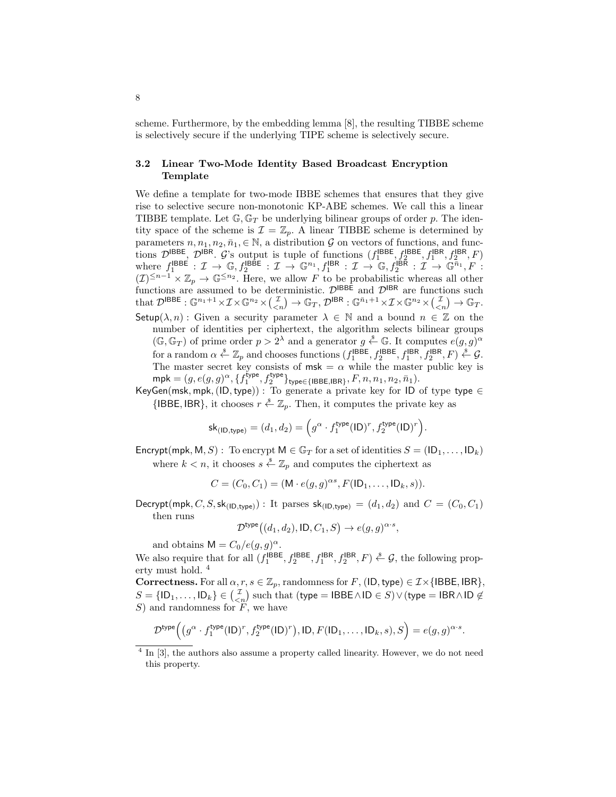scheme. Furthermore, by the embedding lemma [8], the resulting TIBBE scheme is selectively secure if the underlying TIPE scheme is selectively secure.

#### 3.2 Linear Two-Mode Identity Based Broadcast Encryption Template

We define a template for two-mode IBBE schemes that ensures that they give rise to selective secure non-monotonic KP-ABE schemes. We call this a linear TIBBE template. Let  $\mathbb{G}, \mathbb{G}_T$  be underlying bilinear groups of order p. The identity space of the scheme is  $\mathcal{I} = \mathbb{Z}_p$ . A linear TIBBE scheme is determined by parameters  $n, n_1, n_2, \bar{n}_1, \in \mathbb{N}$ , a distribution G on vectors of functions, and functions  $\mathcal{D}^{\mathsf{IBBE}}$ ,  $\mathcal{D}^{\mathsf{IBR}}$ . G's output is tuple of functions  $(f_1^{\mathsf{IBBE}}, f_2^{\mathsf{IBBE}}, f_1^{\mathsf{IBR}}, f_2^{\mathsf{IBR}}, F)$ where  $f_1^{\mathsf{IBBE}}: \mathcal{I} \to \mathbb{G}, f_2^{\mathsf{IBBE}}: \mathcal{I} \to \mathbb{G}^{n_1}, f_1^{\mathsf{IBR}}: \mathcal{I} \to \mathbb{G}, f_2^{\mathsf{IBR}}: \mathcal{I} \to \mathbb{G}^{\bar{n}_1}, F$ :  $(\mathcal{I})^{\leq n-1} \times \mathbb{Z}_p \to \mathbb{G}^{\leq n_2}$ . Here, we allow F to be probabilistic whereas all other functions are assumed to be deterministic.  $\mathcal{D}^{\mathsf{IBBE}}$  and  $\mathcal{D}^{\mathsf{IBR}}$  are functions such that  $\mathcal{D}^{\mathsf{IBBE}} : \mathbb{G}^{n_1+1} \times \mathcal{I} \times \mathbb{G}^{n_2} \times (\frac{\mathcal{I}}{n}) \to \mathbb{G}_T$ ,  $\mathcal{D}^{\mathsf{IBR}} : \mathbb{G}^{\bar{n}_1+1} \times \mathcal{I} \times \mathbb{G}^{n_2} \times (\frac{\mathcal{I}}{n}) \to \mathbb{G}_T$ . Setup( $\lambda$ , n) : Given a security parameter  $\lambda \in \mathbb{N}$  and a bound  $n \in \mathbb{Z}$  on the number of identities per ciphertext, the algorithm selects bilinear groups  $(\mathbb{G}, \mathbb{G}_T)$  of prime order  $p > 2^{\lambda}$  and a generator  $g \stackrel{\hspace{0.1em}\mathsf{\scriptscriptstyle\$}}{\leftarrow} \mathbb{G}$ . It computes  $e(g, g)^{\alpha}$ 

for a random  $\alpha \stackrel{s}{\leftarrow} \mathbb{Z}_p$  and chooses functions  $(f_1^{\text{IBBE}}, f_2^{\text{IBBE}}, f_1^{\text{IBR}}, f_2^{\text{IBR}}, F) \stackrel{s}{\leftarrow} \mathcal{G}$ . The master secret key consists of  $msk = \alpha$  while the master public key is  ${\sf mpk} = (g, e(g, g)^\alpha, \{f_1^{\rm type}, f_2^{\rm type}\}_{{\sf type}\in{\{\sf IBBE}, {\sf IBR}\}}, F, n, n_1, n_2, \bar{n}_1).$ 

KeyGen(msk, mpk,  $(ID, type)$ ) : To generate a private key for ID of type type  $\in$ {IBBE, IBR}, it chooses  $r \stackrel{s}{\leftarrow} \mathbb{Z}_p$ . Then, it computes the private key as

$$
\mathsf{sk}_{(\mathsf{ID},\mathsf{type})} = (d_1,d_2) = \left(g^{\alpha} \cdot f_1^{\mathsf{type}}(\mathsf{ID})^r, f_2^{\mathsf{type}}(\mathsf{ID})^r\right).
$$

Encrypt(mpk, M, S) : To encrypt  $M \in \mathbb{G}_T$  for a set of identities  $S = (ID_1, \ldots, ID_k)$ where  $k < n$ , it chooses  $s \stackrel{\$}{\leftarrow} \mathbb{Z}_p$  and computes the ciphertext as

$$
C = (C_0, C_1) = (\mathsf{M} \cdot e(g, g)^{\alpha s}, F(\mathsf{ID}_1, \dots, \mathsf{ID}_k, s)).
$$

Decrypt(mpk, C, S, sk<sub>(ID,type)</sub>) : It parses  $sk_{(ID, true)} = (d_1, d_2)$  and  $C = (C_0, C_1)$ then runs

$$
\mathcal{D}^{\text{type}}\big((d_1, d_2), \text{ID}, C_1, S\big) \to e(g, g)^{\alpha \cdot s}
$$

,

and obtains  $M = C_0/e(g, g)^{\alpha}$ .

We also require that for all  $(f_1^{\text{IBBE}}, f_2^{\text{IBBE}}, f_1^{\text{IBR}}, f_2^{\text{IBR}}, F) \overset{\$}{\leftarrow} \mathcal{G}$ , the following property must hold. <sup>4</sup>

**Correctness.** For all  $\alpha, r, s \in \mathbb{Z}_p$ , randomness for  $F$ , (ID, type)  $\in \mathcal{I} \times \{ \mathsf{IBBE}, \mathsf{IBR} \}$ ,  $S = \{\mathsf{ID_1}, \dots, \mathsf{ID_k}\} \in {\mathcal{Z}\choose { such that  $(\mathsf{type} = \mathsf{IBBE} \land \mathsf{ID} \in S) \lor (\mathsf{type} = \mathsf{IBR} \land \mathsf{ID} \not\in \mathsf{IBR} \}$$  $S$ ) and randomness for  $F$ , we have

$$
\mathcal{D}^{\text{type}}\Big(\big(g^{\alpha}\cdot f_1^{\text{type}}(\mathsf{ID})^r,f_2^{\text{type}}(\mathsf{ID})^r\big),\mathsf{ID},F(\mathsf{ID}_1,\ldots,\mathsf{ID}_k,s),S\Big)=e(g,g)^{\alpha\cdot s}.
$$

<sup>&</sup>lt;sup>4</sup> In [3], the authors also assume a property called linearity. However, we do not need this property.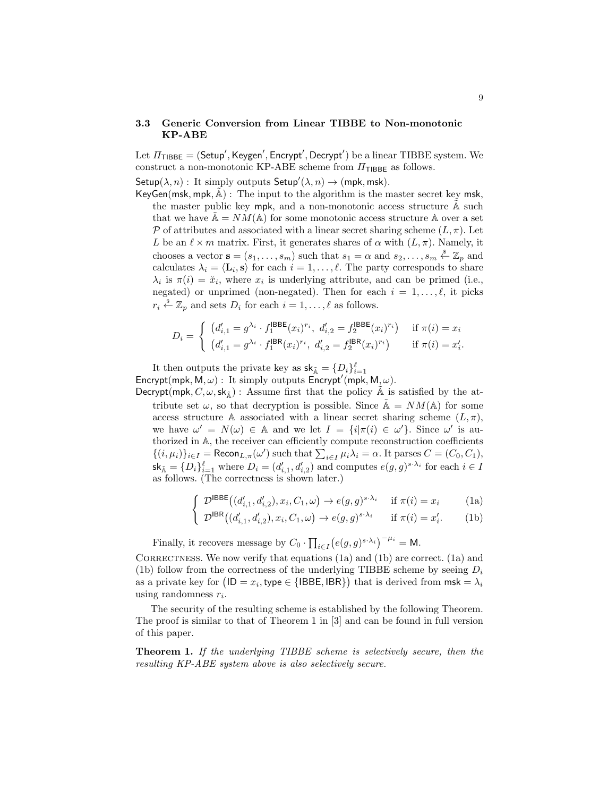## 3.3 Generic Conversion from Linear TIBBE to Non-monotonic KP-ABE

Let  $\varPi_{\mathsf{TIBBE}} = (\mathsf{Setup}'\text{,Keygen}',\mathsf{Encrypt}'\text{,Decrypt}')$  be a linear TIBBE system. We construct a non-monotonic KP-ABE scheme from  $\Pi$ <sub>TIBBE</sub> as follows.

Setup $(\lambda, n)$ : It simply outputs Setup' $(\lambda, n) \to (m$ pk, msk).

KeyGen(msk, mpk,  $A$ ) : The input to the algorithm is the master secret key msk, the master public key  $mpk$ , and a non-monotonic access structure  $A$  such that we have  $\mathbb{A} = NM(\mathbb{A})$  for some monotonic access structure  $\mathbb{A}$  over a set P of attributes and associated with a linear secret sharing scheme  $(L, \pi)$ . Let L be an  $\ell \times m$  matrix. First, it generates shares of  $\alpha$  with  $(L, \pi)$ . Namely, it chooses a vector  $\mathbf{s} = (s_1, \ldots, s_m)$  such that  $s_1 = \alpha$  and  $s_2, \ldots, s_m \stackrel{\$}{\leftarrow} \mathbb{Z}_p$  and calculates  $\lambda_i = \langle \mathbf{L}_i, \mathbf{s} \rangle$  for each  $i = 1, \ldots, \ell$ . The party corresponds to share  $\lambda_i$  is  $\pi(i) = \check{x}_i$ , where  $x_i$  is underlying attribute, and can be primed (i.e., negated) or unprimed (non-negated). Then for each  $i = 1, \ldots, \ell$ , it picks  $r_i \stackrel{\hspace{0.1em}\mathsf{\scriptscriptstyle\$}}{\leftarrow} \mathbb{Z}_p$  and sets  $D_i$  for each  $i = 1, \ldots, \ell$  as follows.

$$
D_i = \begin{cases} (d'_{i,1} = g^{\lambda_i} \cdot f_1^{\text{IBBE}}(x_i)^{r_i}, d'_{i,2} = f_2^{\text{IBBE}}(x_i)^{r_i}) & \text{if } \pi(i) = x_i \\ (d'_{i,1} = g^{\lambda_i} \cdot f_1^{\text{IBR}}(x_i)^{r_i}, d'_{i,2} = f_2^{\text{IBR}}(x_i)^{r_i}) & \text{if } \pi(i) = x'_i. \end{cases}
$$

It then outputs the private key as  $\mathsf{sk}_{\tilde{A}} = \{D_i\}_{i=1}^{\ell}$ Encrypt(mpk,  $\overline{M}, \omega$ ) : It simply outputs Encrypt'(mpk,  $M, \omega$ ). Decrypt(mpk,  $C, \omega, s k_{\tilde{\lambda}}$ ) : Assume first that the policy A is satisfied by the at-

tribute set  $\omega$ , so that decryption is possible. Since  $\mathbb{A} = NM(\mathbb{A})$  for some access structure A associated with a linear secret sharing scheme  $(L, \pi)$ , we have  $\omega' = N(\omega) \in A$  and we let  $I = \{i | \pi(i) \in \omega'\}.$  Since  $\omega'$  is authorized in A, the receiver can efficiently compute reconstruction coefficients  $\{(i,\mu_i)\}_{i\in I} = \textsf{Recon}_{L,\pi}(\omega')$  such that  $\sum_{i\in I}\mu_i\lambda_i = \alpha$ . It parses  $C = (C_0, C_1)$ ,  $\mathsf{sk}_{\tilde{\mathbb{A}}} = \{D_i\}_{i=1}^{\ell}$  where  $D_i = (d'_{i,1}, d'_{i,2})$  and computes  $e(g, g)^{s \cdot \lambda_i}$  for each  $i \in I$ as follows. (The correctness is shown later.)

$$
\begin{cases}\n\mathcal{D}^{\mathsf{IBBE}}\left((d'_{i,1}, d'_{i,2}), x_i, C_1, \omega\right) \to e(g, g)^{s \cdot \lambda_i} & \text{if } \pi(i) = x_i \\
\mathcal{D}^{\mathsf{IBR}}\left((d'_{i,1}, d'_{i,2}), x_i, C_1, \omega\right) \to e(g, g)^{s \cdot \lambda_i} & \text{if } \pi(i) = x'_i.\n\end{cases}
$$
\n(1a)

$$
\mathcal{D}^{\mathsf{IBR}}\big((d'_{i,1}, d'_{i,2}), x_i, C_1, \omega\big) \to e(g, g)^{s \cdot \lambda_i} \quad \text{if } \pi(i) = x'_i. \tag{1b}
$$

Finally, it recovers message by  $C_0 \cdot \prod_{i \in I} (e(g, g)^{s \cdot \lambda_i})^{-\mu_i} = M$ .

CORRECTNESS. We now verify that equations  $(1a)$  and  $(1b)$  are correct.  $(1a)$  and (1b) follow from the correctness of the underlying TIBBE scheme by seeing  $D_i$ as a private key for  $\big(\mathsf{ID} = x_i, \mathsf{type} \in \{\mathsf{IBBE}, \mathsf{IBR}\}\big)$  that is derived from  $\mathsf{msk} = \lambda_i$ using randomness  $r_i$ .

The security of the resulting scheme is established by the following Theorem. The proof is similar to that of Theorem 1 in [3] and can be found in full version of this paper.

Theorem 1. If the underlying TIBBE scheme is selectively secure, then the resulting KP-ABE system above is also selectively secure.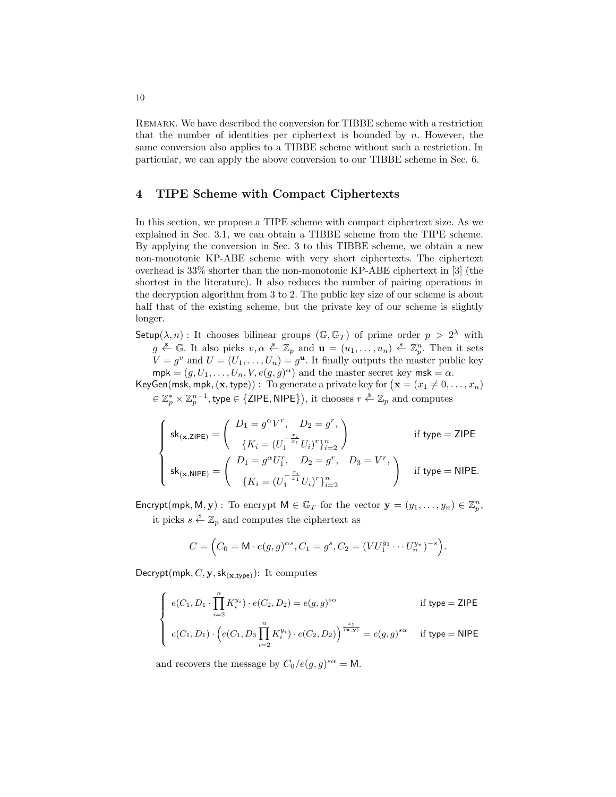Remark. We have described the conversion for TIBBE scheme with a restriction that the number of identities per ciphertext is bounded by  $n$ . However, the same conversion also applies to a TIBBE scheme without such a restriction. In particular, we can apply the above conversion to our TIBBE scheme in Sec. 6.

## 4 TIPE Scheme with Compact Ciphertexts

In this section, we propose a TIPE scheme with compact ciphertext size. As we explained in Sec. 3.1, we can obtain a TIBBE scheme from the TIPE scheme. By applying the conversion in Sec. 3 to this TIBBE scheme, we obtain a new non-monotonic KP-ABE scheme with very short ciphertexts. The ciphertext overhead is 33% shorter than the non-monotonic KP-ABE ciphertext in [3] (the shortest in the literature). It also reduces the number of pairing operations in the decryption algorithm from 3 to 2. The public key size of our scheme is about half that of the existing scheme, but the private key of our scheme is slightly longer.

Setup( $\lambda, n$ ): It chooses bilinear groups ( $\mathbb{G}, \mathbb{G}_T$ ) of prime order  $p > 2^{\lambda}$  with  $g \stackrel{\hspace{0.1em}\mathsf{\scriptscriptstyle\$}}{\leftarrow} \mathbb{G}$ . It also picks  $v, \alpha \stackrel{\hspace{0.1em}\mathsf{\scriptscriptstyle\$}}{\leftarrow} \mathbb{Z}_p$  and  $\mathbf{u} = (u_1, \ldots, u_n) \stackrel{\hspace{0.1em}\mathsf{\scriptscriptstyle\$}}{\leftarrow} \mathbb{Z}_p^n$ . Then it sets  $V = g^v$  and  $U = (U_1, \ldots, U_n) = g^u$ . It finally outputs the master public key  $mpk = (g, U_1, \ldots, U_n, V, e(g, g)^{\alpha})$  and the master secret key  $msk = \alpha$ .

KeyGen(msk, mpk,  $(\mathbf{x}, \mathsf{type})$ ) : To generate a private key for  $(\mathbf{x} = (x_1 \neq 0, \dots, x_n))$  $\{z \in \mathbb{Z}_p^* \times \mathbb{Z}_p^{n-1}, \text{type } \in \{\text{ZIPE}, \text{NIPE}\}\)$ , it chooses  $r \stackrel{\$}{\leftarrow} \mathbb{Z}_p$  and computes

$$
\left\{ \begin{array}{ll} \mathsf{sk}_{(\mathbf{x},\mathsf{ZIPE})} = \left( \begin{array}{cc} D_1 = g^\alpha V^r, \quad D_2 = g^r, \\[1mm] \{K_i = (U_1^{-\frac{x_i}{a_1}} U_i)^r\}_{i=2}^n \end{array} \right) & \text{if type = ZIPE} \\[1mm] \mathsf{sk}_{(\mathbf{x},\mathsf{NIPE})} = \left( \begin{array}{cc} D_1 = g^\alpha U_1^r, \quad D_2 = g^r, \quad D_3 = V^r, \\[1mm] \{K_i = (U_1^{-\frac{x_i}{a_1}} U_i)^r\}_{i=2}^n \end{array} \right) & \text{if type = NIPE}. \end{array} \right.
$$

Encrypt(mpk, M, y) : To encrypt  $M \in \mathbb{G}_T$  for the vector  $\mathbf{y} = (y_1, \dots, y_n) \in \mathbb{Z}_p^n$ , it picks  $s \stackrel{\$}{\leftarrow} \mathbb{Z}_p$  and computes the ciphertext as

$$
C = \Big(C_0 = \mathsf{M} \cdot e(g, g)^{\alpha s}, C_1 = g^s, C_2 = (V U_1^{y_1} \cdots U_n^{y_n})^{-s}\Big).
$$

Decrypt(mpk,  $C$ ,  $y$ ,  $sk_{(x, type)}$ ): It computes

$$
\begin{cases}\ne(C_1, D_1 \cdot \prod_{i=2}^n K_i^{y_i}) \cdot e(C_2, D_2) = e(g, g)^{s\alpha} & \text{if type = ZIPE} \\
e(C_1, D_1) \cdot \left(e(C_1, D_3 \prod_{i=2}^n K_i^{y_i}) \cdot e(C_2, D_2)\right)^{\frac{x_1}{\langle \mathbf{x}, \mathbf{y} \rangle}} = e(g, g)^{s\alpha} & \text{if type = NIPE}\n\end{cases}
$$

and recovers the message by  $C_0/e(g, g)^{s\alpha} = M$ .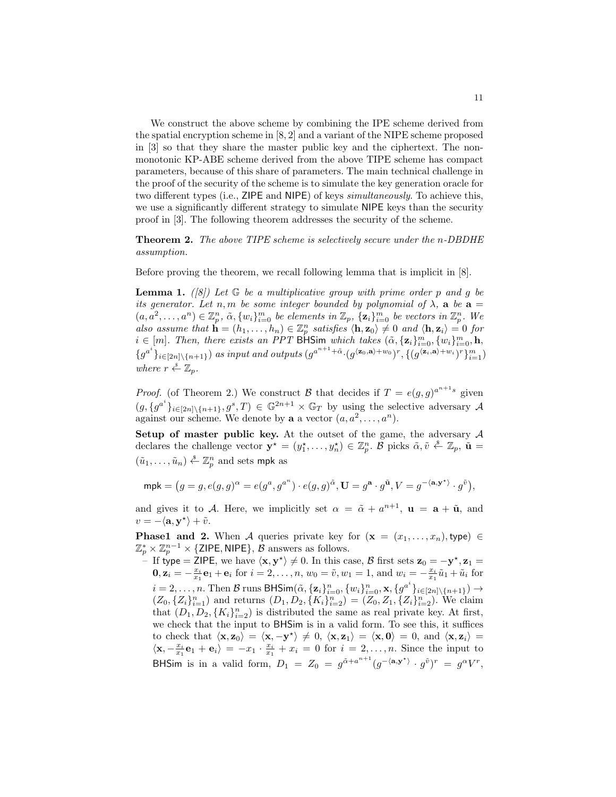We construct the above scheme by combining the IPE scheme derived from the spatial encryption scheme in [8, 2] and a variant of the NIPE scheme proposed in [3] so that they share the master public key and the ciphertext. The nonmonotonic KP-ABE scheme derived from the above TIPE scheme has compact parameters, because of this share of parameters. The main technical challenge in the proof of the security of the scheme is to simulate the key generation oracle for two different types (i.e., ZIPE and NIPE) of keys simultaneously. To achieve this, we use a significantly different strategy to simulate NIPE keys than the security proof in [3]. The following theorem addresses the security of the scheme.

**Theorem 2.** The above TIPE scheme is selectively secure under the n-DBDHE assumption.

Before proving the theorem, we recall following lemma that is implicit in [8].

**Lemma 1.** ([8]) Let  $G$  be a multiplicative group with prime order p and g be its generator. Let n, m be some integer bounded by polynomial of  $\lambda$ , a be a =  $(a, a^2, \ldots, a^n) \in \mathbb{Z}_p^n$ ,  $\tilde{\alpha}, \{w_i\}_{i=0}^m$  be elements in  $\mathbb{Z}_p$ ,  $\{\mathbf{z}_i\}_{i=0}^m$  be vectors in  $\mathbb{Z}_p^n$ . We also assume that  $\mathbf{h} = (h_1, \ldots, h_n) \in \mathbb{Z}_p^n$  satisfies  $\langle \mathbf{h}, \mathbf{z}_0 \rangle \neq 0$  and  $\langle \mathbf{h}, \mathbf{z}_i \rangle = 0$  for  $i \in [m]$ . Then, there exists an PPT BHSim which takes  $(\tilde{\alpha}, {\{z_i\}}_{i=0}^m, \{w_i\}_{i=0}^m, \mathbf{h},$  $\{g^{a^i}\}_{i\in[2n]\setminus\{n+1\}}\}$  as input and outputs  $(g^{a^{n+1}+\tilde{\alpha}}\cdot(g^{(\mathbf{z}_0,\mathbf{a})+w_0})^r,\{(g^{(\mathbf{z}_i,\mathbf{a})+w_i})^r\}_{i=1}^m)$ where  $r \stackrel{s}{\leftarrow} \mathbb{Z}_p$ .

*Proof.* (of Theorem 2.) We construct B that decides if  $T = e(g, g)^{a^{n+1}s}$  given  $(g, \{g^{a^i}\}_{i\in[2n]\setminus\{n+1\}}, g^s, T) \in \mathbb{G}^{2n+1} \times \mathbb{G}_T$  by using the selective adversary A against our scheme. We denote by **a** a vector  $(a, a^2, \ldots, a^n)$ .

Setup of master public key. At the outset of the game, the adversary  $A$ declares the challenge vector  $\mathbf{y}^* = (y_1^*, \ldots, y_n^*) \in \mathbb{Z}_p^n$ .  $\mathcal{B}$  picks  $\tilde{\alpha}, \tilde{v} \stackrel{\$}{\leftarrow} \mathbb{Z}_p$ ,  $\tilde{\mathbf{u}} =$  $(\tilde{u}_1, \ldots, \tilde{u}_n) \overset{\ast}{\leftarrow} \mathbb{Z}_p^n$  and sets mpk as

$$
\mathsf{mpk} = \left(g = g, e(g, g)^{\alpha} = e(g^{a}, g^{a^{n}}) \cdot e(g, g)^{\tilde{\alpha}}, \mathbf{U} = g^{\mathbf{a}} \cdot g^{\tilde{\mathbf{u}}}, V = g^{-\langle \mathbf{a}, \mathbf{y}^{\star} \rangle} \cdot g^{\tilde{v}}\right),
$$

and gives it to A. Here, we implicitly set  $\alpha = \tilde{\alpha} + a^{n+1}$ ,  $\mathbf{u} = \mathbf{a} + \tilde{\mathbf{u}}$ , and  $v = -\langle \mathbf{a}, \mathbf{y}^{\star} \rangle + \tilde{v}.$ 

**Phase1 and 2.** When A queries private key for  $(\mathbf{x} = (x_1, \ldots, x_n),$  type)  $\in$  $\mathbb{Z}_p^* \times \mathbb{Z}_p^{n-1} \times \{\text{ZIPE}, \text{NIPE}\}, \mathcal{B} \text{ answers as follows.}$ 

 $\hat{i}$  – If type = ZIPE, we have  $\langle x, y^* \rangle \neq 0$ . In this case,  $\mathcal B$  first sets  $\mathbf{z}_0 = -\mathbf{y}^* , \mathbf{z}_1 = 0$  $\mathbf{0}, \mathbf{z}_i = -\frac{x_i}{x_1} \mathbf{e}_1 + \mathbf{e}_i \text{ for } i = 2, \dots, n, w_0 = \tilde{v}, w_1 = 1, \text{ and } w_i = -\frac{x_i}{x_1} \tilde{u}_1 + \tilde{u}_i \text{ for } i = 1, \dots, n.$  $i = 2, \ldots, n$ . Then B runs BHSim $(\tilde{\alpha}, \{z_i\}_{i=0}^n, \{w_i\}_{i=0}^n, \mathbf{x}, \{g^{a^i}\}_{i \in [2n] \setminus \{n+1\}}) \rightarrow$  $(Z_0, \{Z_i\}_{i=1}^n)$  and returns  $(D_1, D_2, \{K_i\}_{i=2}^n) = (Z_0, Z_1, \{Z_i\}_{i=2}^n)$ . We claim that  $(D_1, D_2, \lbrace K_i \rbrace_{i=2}^n)$  is distributed the same as real private key. At first, we check that the input to BHSim is in a valid form. To see this, it suffices to check that  $\langle \mathbf{x}, \mathbf{z}_0 \rangle = \langle \mathbf{x}, -\mathbf{y}^* \rangle \neq 0, \langle \mathbf{x}, \mathbf{z}_1 \rangle = \langle \mathbf{x}, \mathbf{0} \rangle = 0$ , and  $\langle \mathbf{x}, \mathbf{z}_i \rangle =$  $\langle \mathbf{x}, -\frac{x_i}{x_1} \mathbf{e}_1 + \mathbf{e}_i \rangle = -x_1 \cdot \frac{x_i}{x_1} + x_i = 0$  for  $i = 2, \ldots, n$ . Since the input to BHSim is in a valid form,  $D_1 = Z_0 = g^{\tilde{\alpha} + a^{n+1}} (g^{-\langle \mathbf{a}, \mathbf{y}^{\star} \rangle} \cdot g^{\tilde{v}})^r = g^{\alpha} V^r$ ,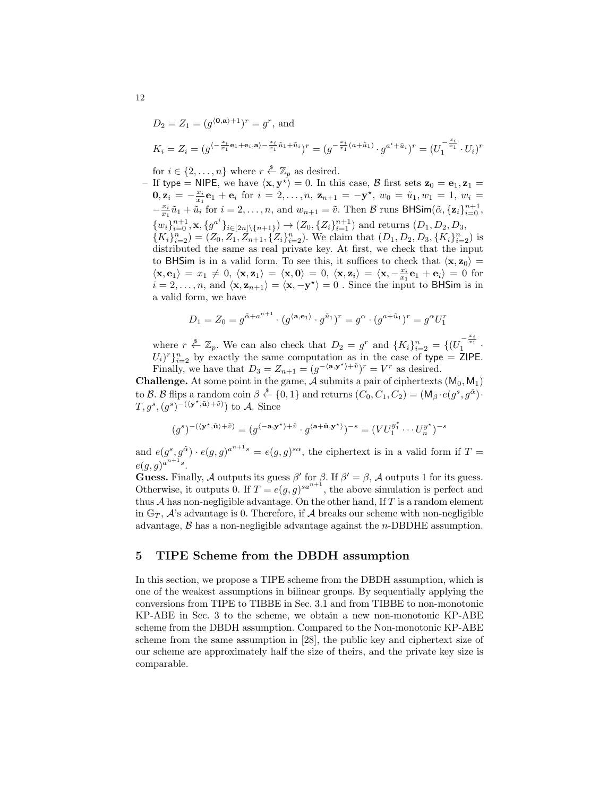$$
D_2 = Z_1 = (g^{(0, \mathbf{a})+1})^r = g^r, \text{ and}
$$
  
\n
$$
K_i = Z_i = (g^{\langle -\frac{x_i}{x_1}\mathbf{e}_1 + \mathbf{e}_i, \mathbf{a}\rangle - \frac{x_i}{x_1}\tilde{u}_1 + \tilde{u}_i})^r = (g^{-\frac{x_i}{x_1}(a+\tilde{u}_1)} \cdot g^{a^i + \tilde{u}_i})^r = (U_1^{-\frac{x_i}{x_1}} \cdot U_i)^r
$$

for  $i \in \{2, ..., n\}$  where  $r \stackrel{\$}{\leftarrow} \mathbb{Z}_p$  as desired.

- If type = NIPE, we have  $\langle x, y^* \rangle = 0$ . In this case,  $\beta$  first sets  $z_0 = e_1, z_1 =$ **0**,  $z_i = -\frac{x_i}{x_1}e_1 + e_i$  for  $i = 2,...,n$ ,  $z_{n+1} = -y^*$ ,  $w_0 = \tilde{u}_1, w_1 = 1$ ,  $w_i =$  $-\frac{x_i}{x_1}\tilde{u}_1 + \tilde{u}_i$  for  $i = 2, \ldots, n$ , and  $w_{n+1} = \tilde{v}$ . Then  $\mathcal{B}$  runs BHSim $(\tilde{\alpha}, {\{z_i\}}_{i=0}^{n+1},$  $\{w_i\}_{i=0}^{n+1}$ ,  $\mathbf{x}, \{g^{a^i}\}_{i \in [2n] \setminus \{n+1\}}) \rightarrow (Z_0, \{Z_i\}_{i=1}^{n+1})$  and returns  $(D_1, D_2, D_3,$  $\{K_i\}_{i=2}^n$  =  $(Z_0, Z_1, Z_{n+1}, \{Z_i\}_{i=2}^n)$ . We claim that  $(D_1, D_2, D_3, \{K_i\}_{i=2}^n)$  is distributed the same as real private key. At first, we check that the input to BHSim is in a valid form. To see this, it suffices to check that  $\langle \mathbf{x}, \mathbf{z}_0 \rangle =$  $\langle \mathbf{x}, \mathbf{e}_1 \rangle = x_1 \neq 0, \langle \mathbf{x}, \mathbf{z}_1 \rangle = \langle \mathbf{x}, \mathbf{0} \rangle = 0, \langle \mathbf{x}, \mathbf{z}_i \rangle = \langle \mathbf{x}, -\frac{x_i}{x_1} \mathbf{e}_1 + \mathbf{e}_i \rangle = 0$  for  $i = 2, \ldots, n$ , and  $\langle \mathbf{x}, \mathbf{z}_{n+1} \rangle = \langle \mathbf{x}, -\mathbf{y}^{\star} \rangle = 0$ . Since the input to BHSim is in a valid form, we have

$$
D_1 = Z_0 = g^{\tilde{\alpha} + a^{n+1}} \cdot (g^{\langle \mathbf{a}, \mathbf{e}_1 \rangle} \cdot g^{\tilde{u}_1})^r = g^{\alpha} \cdot (g^{a + \tilde{u}_1})^r = g^{\alpha} U_1^r
$$

where  $r \stackrel{\hspace{0.1em}\mathsf{\scriptscriptstyle\$}}{\leftarrow} \mathbb{Z}_p$ . We can also check that  $D_2 = g^r$  and  $\{K_i\}_{i=2}^n = \{(U_1^{-\frac{x_i}{x_1}} \cdot$  $(U_i)^r\}_{i=2}^n$  by exactly the same computation as in the case of type = ZIPE. Finally, we have that  $D_3 = Z_{n+1} = (g^{-\langle \mathbf{a}, \mathbf{y}^* \rangle + \tilde{v}})^r = V^r$  as desired.

**Challenge.** At some point in the game,  $A$  submits a pair of ciphertexts  $(M_0, M_1)$ to B. B flips a random coin  $\beta \stackrel{\$}{\leftarrow} \{0,1\}$  and returns  $(C_0, C_1, C_2) = (\mathsf{M}_{\beta} \cdot e(g^s, g^{\tilde{\alpha}}))$ .  $T, g^s, (g^s)^{-(\langle \mathbf{y}^*, \tilde{\mathbf{u}} \rangle + \tilde{v})})$  to A. Since

$$
(g^s)^{-(\langle \mathbf{y}^\star, \tilde{\mathbf{u}} \rangle + \tilde{v})} = (g^{\langle -\mathbf{a}, \mathbf{y}^\star \rangle + \tilde{v}} \cdot g^{\langle \mathbf{a} + \tilde{\mathbf{u}}, \mathbf{y}^\star \rangle})^{-s} = (V U_1^{y_1^\star} \cdots U_n^{y_n^\star})^{-s}
$$

and  $e(g^s, g^{\tilde{\alpha}}) \cdot e(g, g)^{a^{n+1}s} = e(g, g)^{s\alpha}$ , the ciphertext is in a valid form if  $T =$  $e(g,g)^{a^{n+1}s}.$ 

Guess. Finally, A outputs its guess  $\beta'$  for  $\beta$ . If  $\beta' = \beta$ , A outputs 1 for its guess. Otherwise, it outputs 0. If  $T = e(g, g)^{sa^{n+1}}$ , the above simulation is perfect and thus  $A$  has non-negligible advantage. On the other hand, If  $T$  is a random element in  $\mathbb{G}_T$ , A's advantage is 0. Therefore, if A breaks our scheme with non-negligible advantage,  $\beta$  has a non-negligible advantage against the *n*-DBDHE assumption.

## 5 TIPE Scheme from the DBDH assumption

In this section, we propose a TIPE scheme from the DBDH assumption, which is one of the weakest assumptions in bilinear groups. By sequentially applying the conversions from TIPE to TIBBE in Sec. 3.1 and from TIBBE to non-monotonic KP-ABE in Sec. 3 to the scheme, we obtain a new non-monotonic KP-ABE scheme from the DBDH assumption. Compared to the Non-monotonic KP-ABE scheme from the same assumption in [28], the public key and ciphertext size of our scheme are approximately half the size of theirs, and the private key size is comparable.

12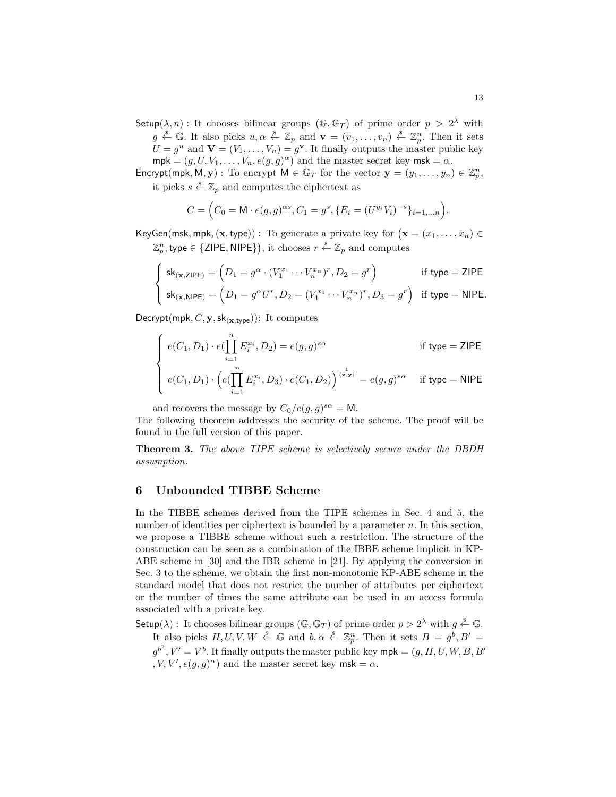Setup( $\lambda, n$ ): It chooses bilinear groups ( $\mathbb{G}, \mathbb{G}_T$ ) of prime order  $p > 2^{\lambda}$  with  $g \stackrel{\hspace{0.1em}\mathsf{\scriptscriptstyle\$}}{\leftarrow} \mathbb{G}$ . It also picks  $u, \alpha \stackrel{\hspace{0.1em}\mathsf{\scriptscriptstyle\$}}{\leftarrow} \mathbb{Z}_p$  and  $\mathbf{v} = (v_1, \ldots, v_n) \stackrel{\hspace{0.1em}\mathsf{\scriptscriptstyle\$}}{\leftarrow} \mathbb{Z}_p^n$ . Then it sets  $U = g^u$  and  $\mathbf{V} = (V_1, \dots, V_n) = g^v$ . It finally outputs the master public key  $mpk = (g, U, V_1, \ldots, V_n, e(g, g)^{\alpha})$  and the master secret key  $msk = \alpha$ .

Encrypt(mpk, M, y): To encrypt  $M \in \mathbb{G}_T$  for the vector  $\mathbf{y} = (y_1, \ldots, y_n) \in \mathbb{Z}_p^n$ , it picks  $s \stackrel{\$}{\leftarrow} \mathbb{Z}_p$  and computes the ciphertext as

$$
C = \Big(C_0 = \mathsf{M} \cdot e(g, g)^{\alpha s}, C_1 = g^s, \{E_i = (U^{y_i} V_i)^{-s}\}_{i=1,...n}\Big).
$$

KeyGen(msk, mpk,  $(\mathbf{x}, \mathsf{type})$ ) : To generate a private key for  $(\mathbf{x} = (x_1, \dots, x_n) \in$  $\mathbb{Z}_p^n$ , type  $\in$  {ZIPE, NIPE}), it chooses  $r \stackrel{s}{\leftarrow} \mathbb{Z}_p$  and computes

$$
\begin{cases}\n\mathsf{sk}_{(\mathbf{x},\mathsf{ZIPE})} = \left(D_1 = g^\alpha \cdot (V_1^{x_1} \cdots V_n^{x_n})^r, D_2 = g^r\right) & \text{if type = \mathsf{ZIPE}} \\
\mathsf{sk}_{(\mathbf{x},\mathsf{NIPE})} = \left(D_1 = g^\alpha U^r, D_2 = (V_1^{x_1} \cdots V_n^{x_n})^r, D_3 = g^r\right) & \text{if type = \mathsf{NIPE}}.\n\end{cases}
$$

Decrypt(mpk,  $C$ ,  $y$ ,  $sk_{(x, type)}$ ): It computes

$$
\begin{cases}\ne(C_1, D_1) \cdot e(\prod_{i=1}^n E_i^{x_i}, D_2) = e(g, g)^{s\alpha} & \text{if type = ZIPE} \\
n & \text{if type = ZIPE}\n\end{cases}
$$

$$
\left\{ e(C_1, D_1) \cdot \left( e(\prod_{i=1}^n E_i^{x_i}, D_3) \cdot e(C_1, D_2) \right)^{\frac{1}{\langle x, y \rangle}} = e(g, g)^{s\alpha} \quad \text{if type = NIPE}
$$

and recovers the message by  $C_0/e(g, g)^{s\alpha} = M$ .

The following theorem addresses the security of the scheme. The proof will be found in the full version of this paper.

**Theorem 3.** The above TIPE scheme is selectively secure under the DBDH assumption.

## 6 Unbounded TIBBE Scheme

In the TIBBE schemes derived from the TIPE schemes in Sec. 4 and 5, the number of identities per ciphertext is bounded by a parameter n. In this section, we propose a TIBBE scheme without such a restriction. The structure of the construction can be seen as a combination of the IBBE scheme implicit in KP-ABE scheme in [30] and the IBR scheme in [21]. By applying the conversion in Sec. 3 to the scheme, we obtain the first non-monotonic KP-ABE scheme in the standard model that does not restrict the number of attributes per ciphertext or the number of times the same attribute can be used in an access formula associated with a private key.

Setup( $\lambda$ ): It chooses bilinear groups ( $\mathbb{G}, \mathbb{G}_T$ ) of prime order  $p > 2^{\lambda}$  with  $g \stackrel{\hspace{0.1em}\mathsf{\scriptscriptstyle\$}}{\leftarrow} \mathbb{G}$ . It also picks  $H, U, V, W \stackrel{s}{\leftarrow} \mathbb{G}$  and  $b, \alpha \stackrel{s}{\leftarrow} \mathbb{Z}_p^n$ . Then it sets  $B = g^b, B' =$  $g^{b^2}$ ,  $V' = V^b$ . It finally outputs the master public key mpk  $= (g, H, U, W, B, B')$  $, V, V', e(g, g)^\alpha)$  and the master secret key msk =  $\alpha$ .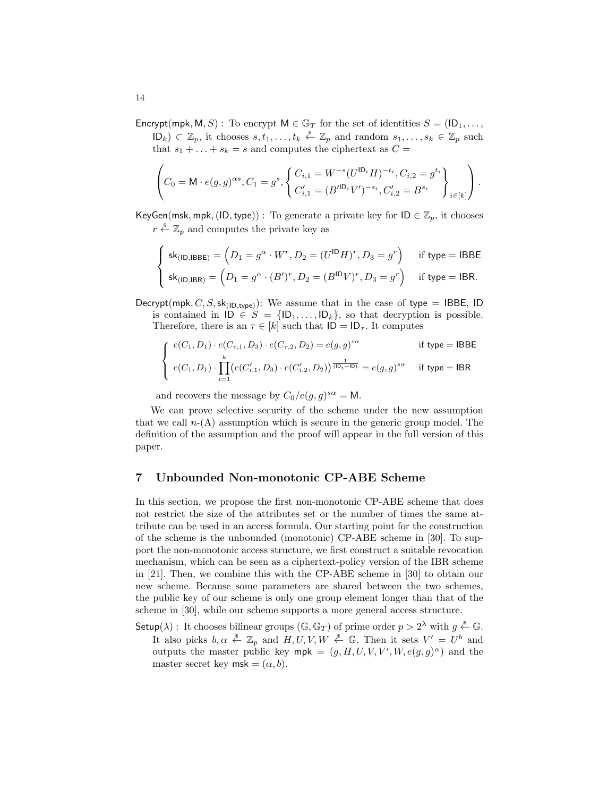Encrypt(mpk, M, S) : To encrypt  $M \in \mathbb{G}_T$  for the set of identities  $S = (ID_1, \ldots, I_m)$ 

 $\mathsf{ID}_k$ )  $\subset \mathbb{Z}_p$ , it chooses  $s, t_1, \ldots, t_k \stackrel{s}{\leftarrow} \mathbb{Z}_p$  and random  $s_1, \ldots, s_k \in \mathbb{Z}_p$  such that  $s_1 + \ldots + s_k = s$  and computes the ciphertext as  $C =$ 

$$
\left(C_0 = \mathsf{M} \cdot e(g, g)^{\alpha s}, C_1 = g^s, \left\{ \begin{aligned} C_{i,1} &= W^{-s} (U^{\mathsf{ID}_i} H)^{-t_i}, C_{i,2} = g^{t_i} \\ C'_{i,1} &= (B'^{\mathsf{ID}_i} V')^{-s_i}, C'_{i,2} = B^{s_i} \end{aligned} \right\}_{i \in [k]} \right).
$$

KeyGen(msk, mpk, (ID, type)) : To generate a private key for  $ID \in \mathbb{Z}_p$ , it chooses  $r \stackrel{\hspace{0.1em}\mathsf{\scriptscriptstyle\$}}{\leftarrow} \mathbb{Z}_p$  and computes the private key as

$$
\begin{cases}\n\mathsf{sk}_{(\mathsf{ID},\mathsf{IBBE})} = \left(D_1 = g^\alpha \cdot W^r, D_2 = (U^{\mathsf{ID}} H)^r, D_3 = g^r\right) & \text{if type = IBBE} \\
\mathsf{sk}_{(\mathsf{ID},\mathsf{IBR})} = \left(D_1 = g^\alpha \cdot (B')^r, D_2 = (B^{\mathsf{ID}} V)^r, D_3 = g^r\right) & \text{if type = IBR.}\n\end{cases}
$$

Decrypt(mpk, C, S, sk<sub>(ID,type)</sub>): We assume that in the case of type = IBBE, ID is contained in  $ID \in S = \{ ID_1, \ldots, ID_k \}$ , so that decryption is possible. Therefore, there is an  $\tau \in [k]$  such that  $ID = ID_{\tau}$ . It computes

$$
\begin{cases}\ne(C_1, D_1) \cdot e(C_{\tau,1}, D_3) \cdot e(C_{\tau,2}, D_2) = e(g, g)^{s\alpha} & \text{if type = IBBE} \\
e(C_1, D_1) \cdot \prod_{i=1}^k (e(C'_{i,1}, D_3) \cdot e(C'_{i,2}, D_2))^{\frac{1}{(\text{ID}_i - \text{ID})}} = e(g, g)^{s\alpha} & \text{if type = IBR}\n\end{cases}
$$

and recovers the message by  $C_0/e(g, g)^{s\alpha} = M$ .

We can prove selective security of the scheme under the new assumption that we call  $n-(A)$  assumption which is secure in the generic group model. The definition of the assumption and the proof will appear in the full version of this paper.

## 7 Unbounded Non-monotonic CP-ABE Scheme

In this section, we propose the first non-monotonic CP-ABE scheme that does not restrict the size of the attributes set or the number of times the same attribute can be used in an access formula. Our starting point for the construction of the scheme is the unbounded (monotonic) CP-ABE scheme in [30]. To support the non-monotonic access structure, we first construct a suitable revocation mechanism, which can be seen as a ciphertext-policy version of the IBR scheme in [21]. Then, we combine this with the CP-ABE scheme in [30] to obtain our new scheme. Because some parameters are shared between the two schemes, the public key of our scheme is only one group element longer than that of the scheme in [30], while our scheme supports a more general access structure.

Setup( $\lambda$ ): It chooses bilinear groups ( $\mathbb{G}, \mathbb{G}_T$ ) of prime order  $p > 2^{\lambda}$  with  $g \stackrel{\hspace{0.1em}\mathsf{\scriptscriptstyle\$}}{\leftarrow} \mathbb{G}$ . It also picks  $b, \alpha \stackrel{s}{\leftarrow} \mathbb{Z}_p$  and  $H, U, V, W \stackrel{s}{\leftarrow} \mathbb{G}$ . Then it sets  $V' = U^b$  and outputs the master public key  $mpk = (g, H, U, V, V', W, e(g, g)^{\alpha})$  and the master secret key msk =  $(\alpha, b)$ .

14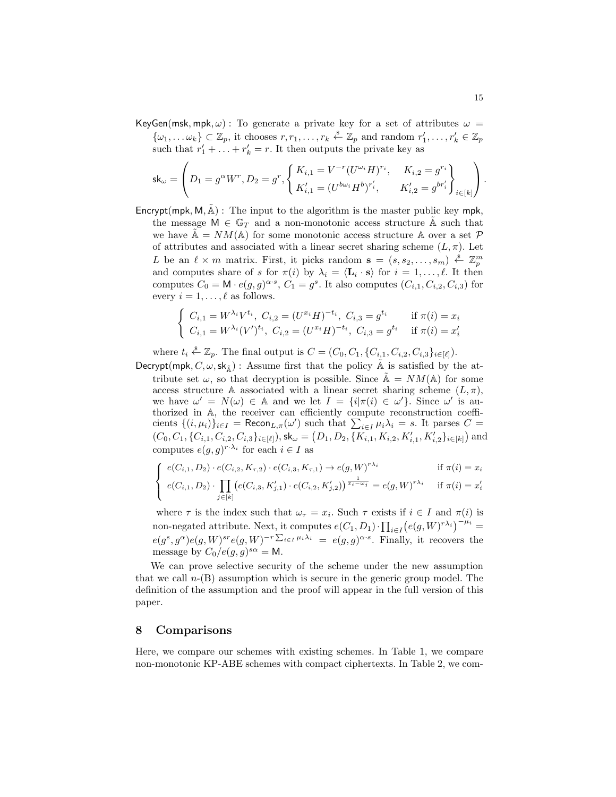KeyGen(msk, mpk,  $\omega$ ) : To generate a private key for a set of attributes  $\omega$  =  $\{\omega_1,\ldots\omega_k\}\subset\mathbb{Z}_p$ , it chooses  $r,r_1,\ldots,r_k\overset{\hspace{0.1em}\mathsf{\scriptscriptstyle\$}}{\leftarrow}\mathbb{Z}_p$  and random  $r'_1,\ldots,r'_k\in\mathbb{Z}_p$ such that  $r'_1 + \ldots + r'_k = r$ . It then outputs the private key as

$$
\mathsf{sk}_{\omega} = \left( D_1 = g^{\alpha} W^r, D_2 = g^r, \begin{cases} K_{i,1} = V^{-r} (U^{\omega_i} H)^{r_i}, & K_{i,2} = g^{r_i} \\ K'_{i,1} = (U^{b\omega_i} H^b)^{r'_i}, & K'_{i,2} = g^{br'_i} \end{cases} \right).
$$

Encrypt(mpk,  $M$ ,  $\hat{A}$ ) : The input to the algorithm is the master public key mpk, the message  $M \in \mathbb{G}_T$  and a non-monotonic access structure A such that we have  $\mathbb{A} = NM(\mathbb{A})$  for some monotonic access structure  $\mathbb{A}$  over a set  $\mathcal{P}$ of attributes and associated with a linear secret sharing scheme  $(L, \pi)$ . Let L be an  $\ell \times m$  matrix. First, it picks random  $\mathbf{s} = (s, s_2, \ldots, s_m) \stackrel{s}{\leftarrow} \mathbb{Z}_p^m$ and computes share of s for  $\pi(i)$  by  $\lambda_i = \langle \mathbf{L}_i \cdot \mathbf{s} \rangle$  for  $i = 1, \ldots, \ell$ . It then computes  $C_0 = \mathsf{M} \cdot e(g, g)^{\alpha \cdot s}$ ,  $C_1 = g^s$ . It also computes  $(C_{i,1}, C_{i,2}, C_{i,3})$  for every  $i = 1, \ldots, \ell$  as follows.

$$
\begin{cases}\nC_{i,1} = W^{\lambda_i} V^{t_i}, \ C_{i,2} = (U^{x_i} H)^{-t_i}, \ C_{i,3} = g^{t_i} & \text{if } \pi(i) = x_i \\
C_{i,1} = W^{\lambda_i} (V')^{t_i}, \ C_{i,2} = (U^{x_i} H)^{-t_i}, \ C_{i,3} = g^{t_i} & \text{if } \pi(i) = x'_i\n\end{cases}
$$

where  $t_i \stackrel{\text{*}}{\leftarrow} \mathbb{Z}_p$ . The final output is  $C = (C_0, C_1, \{C_{i,1}, C_{i,2}, C_{i,3}\}_{i \in [\ell]})$ .

Decrypt(mpk,  $C, \omega, s k_{\tilde{A}}$ ) : Assume first that the policy  $\tilde{A}$  is satisfied by the attribute set  $\omega$ , so that decryption is possible. Since  $\tilde{A} = NM(A)$  for some access structure A associated with a linear secret sharing scheme  $(L, \pi)$ , we have  $\omega' = N(\omega) \in A$  and we let  $I = \{i | \pi(i) \in \omega'\}.$  Since  $\omega'$  is authorized in A, the receiver can efficiently compute reconstruction coefficients  $\{(i,\mu_i)\}_{i\in I}$  = Recon $_{L,\pi}(\omega')$  such that  $\sum_{i\in I}\mu_i\lambda_i = s$ . It parses  $C =$  $(C_0, C_1, \{C_{i,1}, C_{i,2}, C_{i,3}\}_{i \in [\ell]}),$  sk<sub> $\omega$ </sub> =  $(D_1, D_2, \{K_{i,1}, K_{i,2}, K'_{i,1}, K'_{i,2}\}_{i \in [k]})$  and computes  $e(g,g)^{r \cdot \lambda_i}$  for each  $i \in I$  as

$$
\int e(C_{i,1}, D_2) \cdot e(C_{i,2}, K_{\tau,2}) \cdot e(C_{i,3}, K_{\tau,1}) \to e(g, W)^{r \lambda_i} \quad \text{if } \pi(i) = x_i
$$

$$
\left\{ \begin{array}{ll} e(C_{i,1}, D_2) \cdot \prod_{j \in [k]} \left( e(C_{i,3}, K'_{j,1}) \cdot e(C_{i,2}, K'_{j,2}) \right)^{\frac{1}{x_i - \omega_j}} = e(g, W)^{r \lambda_i} & \text{if } \pi(i) = x'_i \end{array} \right\}
$$

where  $\tau$  is the index such that  $\omega_{\tau} = x_i$ . Such  $\tau$  exists if  $i \in I$  and  $\pi(i)$  is non-negated attribute. Next, it computes  $e(C_1, D_1) \cdot \prod_{i \in I} (e(g, W)^{r \lambda_i})^{-\mu_i} =$  $e(g^s, g^{\alpha})e(g, W)^{sr}e(g, W)^{-r\sum_{i\in I}\mu_i\lambda_i} = e(g, g)^{\alpha \cdot s}.$  Finally, it recovers the message by  $C_0/e(g,g)^{s\alpha} = M$ .

We can prove selective security of the scheme under the new assumption that we call  $n-(B)$  assumption which is secure in the generic group model. The definition of the assumption and the proof will appear in the full version of this paper.

## 8 Comparisons

Here, we compare our schemes with existing schemes. In Table 1, we compare non-monotonic KP-ABE schemes with compact ciphertexts. In Table 2, we com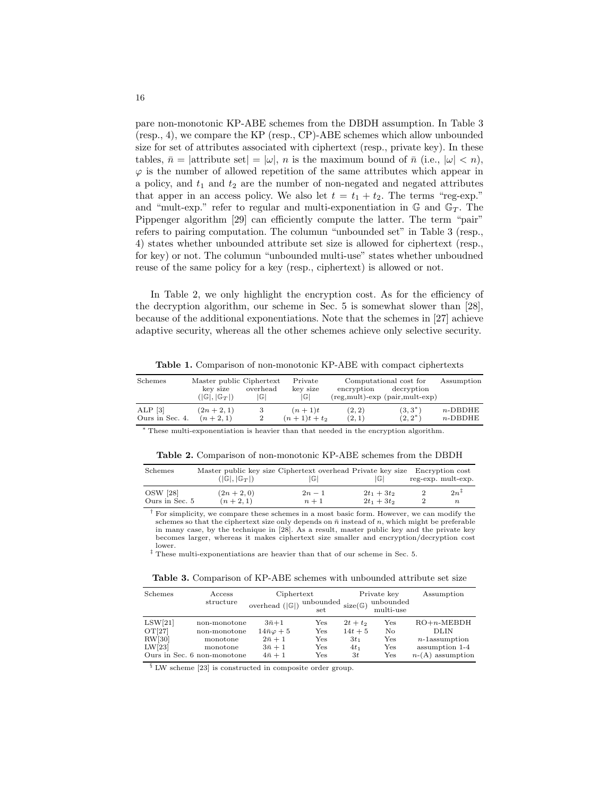pare non-monotonic KP-ABE schemes from the DBDH assumption. In Table 3 (resp., 4), we compare the KP (resp., CP)-ABE schemes which allow unbounded size for set of attributes associated with ciphertext (resp., private key). In these tables,  $\bar{n} = |\text{attribute set}| = |\omega|$ , *n* is the maximum bound of  $\bar{n}$  (i.e.,  $|\omega| < n$ ),  $\varphi$  is the number of allowed repetition of the same attributes which appear in a policy, and  $t_1$  and  $t_2$  are the number of non-negated and negated attributes that apper in an access policy. We also let  $t = t_1 + t_2$ . The terms "reg-exp." and "mult-exp." refer to regular and multi-exponentiation in  $\mathbb{G}$  and  $\mathbb{G}_T$ . The Pippenger algorithm [29] can efficiently compute the latter. The term "pair" refers to pairing computation. The columun "unbounded set" in Table 3 (resp., 4) states whether unbounded attribute set size is allowed for ciphertext (resp., for key) or not. The columun "unbounded multi-use" states whether unboudned reuse of the same policy for a key (resp., ciphertext) is allowed or not.

In Table 2, we only highlight the encryption cost. As for the efficiency of the decryption algorithm, our scheme in Sec. 5 is somewhat slower than [28], because of the additional exponentiations. Note that the schemes in [27] achieve adaptive security, whereas all the other schemes achieve only selective security.

Table 1. Comparison of non-monotonic KP-ABE with compact ciphertexts

| Schemes         | Master public Ciphertext                     |          | Private      | Computational cost for | Assumption                           |            |
|-----------------|----------------------------------------------|----------|--------------|------------------------|--------------------------------------|------------|
|                 | kev size                                     | overhead | key size     | encryption             | decryption                           |            |
|                 | $( \mathbb{G} ,  \mathbb{G}_{\mathcal{T}} )$ | G        | G            |                        | $reg, mult)$ -exp $(pair, mult-exp)$ |            |
| ALP $[3]$       | $(2n+2,1)$                                   | -3       | $(n+1)t$     | (2, 2)                 | $(3,3^*)$                            | $n$ -DBDHE |
| Ours in Sec. 4. | $(n+2,1)$                                    |          | $(n+1)t+t_2$ | (2, 1)                 | $(2,2^*)$                            | $n$ -DBDHE |
|                 |                                              |          |              |                        |                                      |            |

<sup>∗</sup> These multi-exponentiation is heavier than that needed in the encryption algorithm.

| <b>Table 2.</b> Comparison of non-monotonic KP-ABE schemes from the DBDH |  |
|--------------------------------------------------------------------------|--|
|--------------------------------------------------------------------------|--|

| Schemes        |                                  | Master public key size Ciphertext overhead Private key size Encryption cost |               |         |                    |
|----------------|----------------------------------|-----------------------------------------------------------------------------|---------------|---------|--------------------|
|                | $( \mathbb{G} ,  \mathbb{G}_T )$ | IG I                                                                        | G             |         | reg-exp. mult-exp. |
| OSW [28]       | $(2n+2,0)$                       | $2n-1$                                                                      | $2t_1 + 3t_2$ | $\cdot$ | $2n+$              |
| Ours in Sec. 5 | $(n+2,1)$                        | $n+1$                                                                       | $2t_1 + 3t_2$ |         | $\, n$             |

<sup> $\dagger$ </sup> For simplicity, we compare these schemes in a most basic form. However, we can modify the schemes so that the ciphertext size only depends on  $\bar{n}$  instead of n, which might be preferable<br>in many case, by the technique in [28]. As a result, master public key and the private key becomes larger, whereas it makes ciphertext size smaller and encryption/decryption cost lower.

‡ These multi-exponentiations are heavier than that of our scheme in Sec. 5.

Table 3. Comparison of KP-ABE schemes with unbounded attribute set size

| Schemes<br>Access |                             | Ciphertext                |                  | Private key        |                        | Assumption         |
|-------------------|-----------------------------|---------------------------|------------------|--------------------|------------------------|--------------------|
|                   | structure                   | overhead $( \mathbb{G} )$ | unbounded<br>set | $size(\mathbb{G})$ | unbounded<br>multi-use |                    |
| LSW[21]           | non-monotone                | $3\bar{n}+1$              | Yes              | $2t + t_2$         | Yes                    | $RO+n-MEBDH$       |
| OT[27]            | non-monotone                | $14\bar{n}\varphi+5$      | Yes              | $14t + 5$          | No                     | DLIN               |
| RW[30]            | monotone                    | $2\bar{n}+1$              | Yes              | 3t <sub>1</sub>    | Yes                    | $n$ -lassumption   |
| LW[23]            | monotone                    | $3\bar{n}+1$              | $_{\rm Yes}$     | 4t <sub>1</sub>    | Yes                    | assumption 1-4     |
|                   | Ours in Sec. 6 non-monotone | $4\bar{n}+1$              | $_{\rm Yes}$     | 3t                 | Yes                    | $n-(A)$ assumption |

§ LW scheme [23] is constructed in composite order group.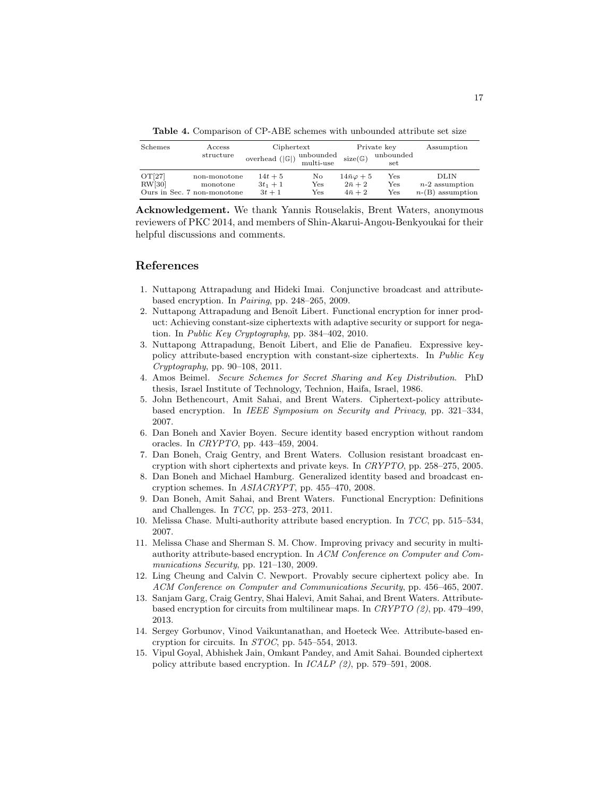Table 4. Comparison of CP-ABE schemes with unbounded attribute set size

| Schemes<br>Access |                             | Ciphertext                |              | Private key          |           | Assumption         |
|-------------------|-----------------------------|---------------------------|--------------|----------------------|-----------|--------------------|
|                   | structure                   | overhead $( \mathbb{G} )$ | unbounded    | $size(\mathbb{G})$   | unbounded |                    |
|                   |                             |                           | multi-use    |                      | set       |                    |
| OT[27]            | non-monotone                | $14t + 5$                 | No.          | $14\bar{n}\varphi+5$ | Yes       | DLIN               |
| RW[30]            | monotone                    | $3t_1 + 1$                | Yes          | $2\bar{n}+2$         | Yes       | $n-2$ assumption   |
|                   | Ours in Sec. 7 non-monotone | $3t+1$                    | $_{\rm Yes}$ | $4\bar{n}+2$         | Yes       | $n-(B)$ assumption |

Acknowledgement. We thank Yannis Rouselakis, Brent Waters, anonymous reviewers of PKC 2014, and members of Shin-Akarui-Angou-Benkyoukai for their helpful discussions and comments.

## References

- 1. Nuttapong Attrapadung and Hideki Imai. Conjunctive broadcast and attributebased encryption. In Pairing, pp. 248–265, 2009.
- 2. Nuttapong Attrapadung and Benoît Libert. Functional encryption for inner product: Achieving constant-size ciphertexts with adaptive security or support for negation. In Public Key Cryptography, pp. 384–402, 2010.
- 3. Nuttapong Attrapadung, Benoît Libert, and Elie de Panafieu. Expressive keypolicy attribute-based encryption with constant-size ciphertexts. In Public Key  $Cryptography$ , pp. 90–108, 2011.
- 4. Amos Beimel. Secure Schemes for Secret Sharing and Key Distribution. PhD thesis, Israel Institute of Technology, Technion, Haifa, Israel, 1986.
- 5. John Bethencourt, Amit Sahai, and Brent Waters. Ciphertext-policy attributebased encryption. In IEEE Symposium on Security and Privacy, pp. 321–334, 2007.
- 6. Dan Boneh and Xavier Boyen. Secure identity based encryption without random oracles. In CRYPTO, pp. 443–459, 2004.
- 7. Dan Boneh, Craig Gentry, and Brent Waters. Collusion resistant broadcast encryption with short ciphertexts and private keys. In CRYPTO, pp. 258–275, 2005.
- 8. Dan Boneh and Michael Hamburg. Generalized identity based and broadcast encryption schemes. In ASIACRYPT, pp. 455–470, 2008.
- 9. Dan Boneh, Amit Sahai, and Brent Waters. Functional Encryption: Definitions and Challenges. In TCC, pp. 253–273, 2011.
- 10. Melissa Chase. Multi-authority attribute based encryption. In TCC, pp. 515–534, 2007.
- 11. Melissa Chase and Sherman S. M. Chow. Improving privacy and security in multiauthority attribute-based encryption. In ACM Conference on Computer and Communications Security, pp. 121–130, 2009.
- 12. Ling Cheung and Calvin C. Newport. Provably secure ciphertext policy abe. In ACM Conference on Computer and Communications Security, pp. 456–465, 2007.
- 13. Sanjam Garg, Craig Gentry, Shai Halevi, Amit Sahai, and Brent Waters. Attributebased encryption for circuits from multilinear maps. In CRYPTO (2), pp. 479–499, 2013.
- 14. Sergey Gorbunov, Vinod Vaikuntanathan, and Hoeteck Wee. Attribute-based encryption for circuits. In STOC, pp. 545–554, 2013.
- 15. Vipul Goyal, Abhishek Jain, Omkant Pandey, and Amit Sahai. Bounded ciphertext policy attribute based encryption. In ICALP (2), pp. 579–591, 2008.